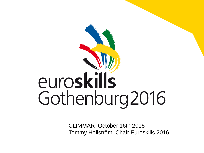# euroskills Gothenburg 2016

CLIMMAR ,October 16th 2015 Tommy Hellström, Chair Euroskills 2016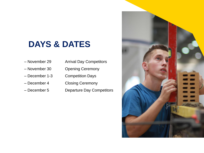## **DAYS & DATES**

- November 29 Arrival Day Competitors
- 
- 
- 
- 
- 
- November 30 Opening Ceremony
- December 1-3 Competition Days
- December 4 Closing Ceremony
- December 5 Departure Day Competitors

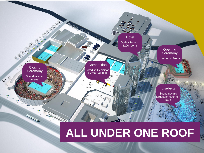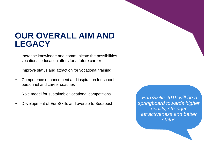## **OUR OVERALL AIM AND LEGACY**

- Increase knowledge and communicate the possibilities vocational education offers for a future career
- Improve status and attraction for vocational training
- Competence enhancement and inspiration for school personnel and career coaches
- Role model for sustainable vocational competitions
- Development of EuroSkills and overlap to Budapest

*"EuroSkills 2016 will be a springboard towards higher quality, stronger attractiveness and better status*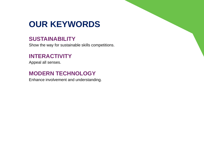## **OUR KEYWORDS**

#### **SUSTAINABILITY**

Show the way for sustainable skills competitions.

#### **INTERACTIVITY**

Appeal all senses.

#### **MODERN TECHNOLOGY**

Enhance involvement and understanding.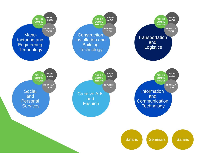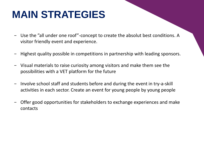## **MAIN STRATEGIES**

- − Use the "all under one roof"-concept to create the absolut best conditions. A visitor friendly event and experience.
- − Highest quality possible in competitions in partnership with leading sponsors.
- − Visual materials to raise curiosity among visitors and make them see the possibilities with a VET platform for the future
- − Involve school staff and students before and during the event in try-a-skill activities in each sector. Create an event for young people by young people
- − Offer good opportunities for stakeholders to exchange experiences and make contacts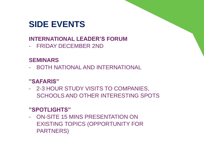## **SIDE EVENTS**

### **INTERNATIONAL LEADER'S FORUM**

- FRIDAY DECEMBER 2ND

#### **SEMINARS**

- BOTH NATIONAL AND INTERNATIONAL

#### **"SAFARIS"**

- 2-3 HOUR STUDY VISITS TO COMPANIES, SCHOOLS AND OTHER INTERESTING SPOTS

#### **"SPOTLIGHTS"**

- ON-SITE 15 MINS PRESENTATION ON EXISTING TOPICS (OPPORTUNITY FOR PARTNERS)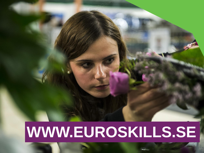## **WWW.EUROSKILLS.SE**